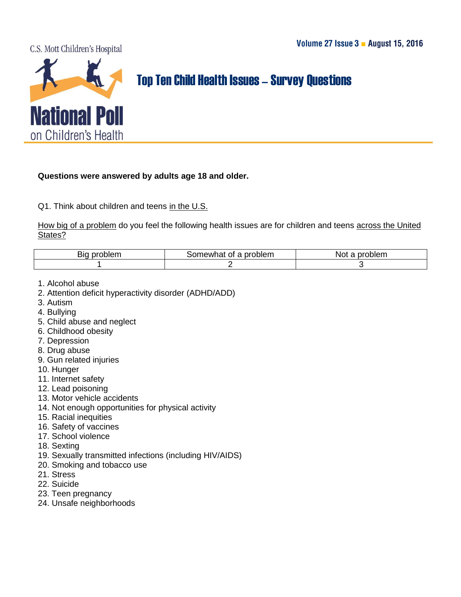C.S. Mott Children's Hospital



## Top Ten Child Health Issues–Survey Questions

## **Questions were answered by adults age 18 and older.**

Q1. Think about children and teens in the U.S.

How big of a problem do you feel the following health issues are for children and teens across the United States?

| .blem<br>. nrc<br>Βю | problem<br>Οt<br>Tiewna.<br>. . | ៱៲៱៲៱៳<br>.<br>'NO.<br>∍pien.<br>п |
|----------------------|---------------------------------|------------------------------------|
|                      |                                 |                                    |

- 1. Alcohol abuse
- 2. Attention deficit hyperactivity disorder (ADHD/ADD)
- 3. Autism
- 4. Bullying
- 5. Child abuse and neglect
- 6. Childhood obesity
- 7. Depression
- 8. Drug abuse
- 9. Gun related injuries
- 10. Hunger
- 11. Internet safety
- 12. Lead poisoning
- 13. Motor vehicle accidents
- 14. Not enough opportunities for physical activity
- 15. Racial inequities
- 16. Safety of vaccines
- 17. School violence
- 18. Sexting
- 19. Sexually transmitted infections (including HIV/AIDS)
- 20. Smoking and tobacco use
- 21. Stress
- 22. Suicide
- 23. Teen pregnancy
- 24. Unsafe neighborhoods